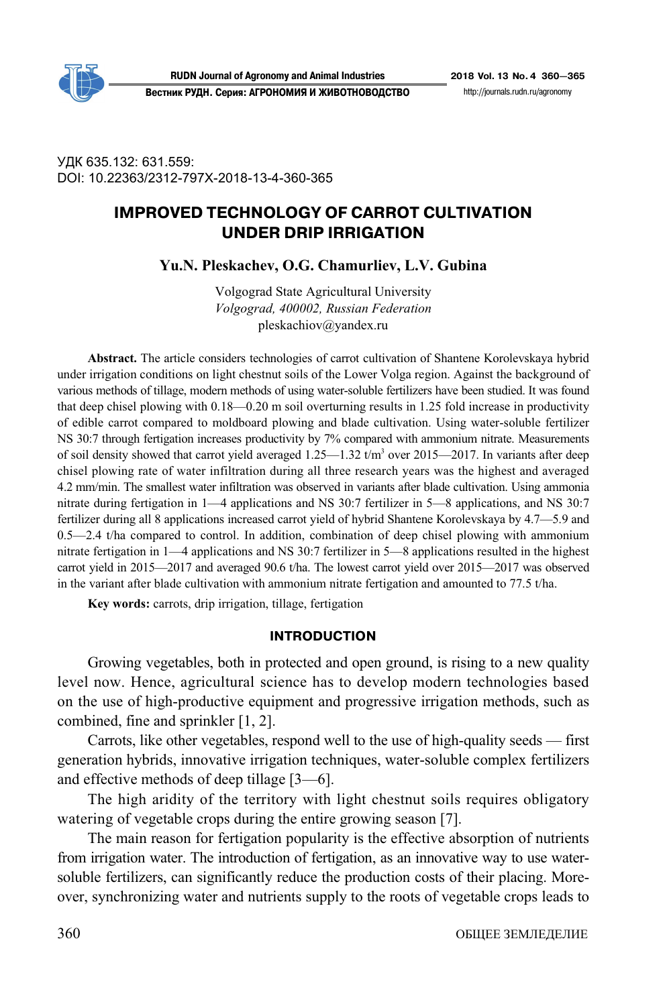

**RUDN Journal of Agronomy and Animal Industries 2018 Vol. 13 No. 4 360—365**

**Вестник РУДН. Серия: АГРОНОМИЯ И ЖИВОТНОВОДСТВО** http://journals.rudn.ru/agronomy

УДК 635.132: 631.559: DOI: 10.22363/2312-797X-2018-13-4-360-365

# **IMPROVED TECHNOLOGY OF CARROT CULTIVATION UNDER DRIP IRRIGATION**

**Yu.N. Pleskachev, O.G. Chamurliev, L.V. Gubina** 

Volgograd State Agricultural University *Volgograd, 400002, Russian Federation*  pleskachiov@yandex.ru

**Abstract.** The article considers technologies of carrot cultivation of Shantene Korolevskaya hybrid under irrigation conditions on light chestnut soils of the Lower Volga region. Against the background of various methods of tillage, modern methods of using water-soluble fertilizers have been studied. It was found that deep chisel plowing with 0.18—0.20 m soil overturning results in 1.25 fold increase in productivity of edible carrot compared to moldboard plowing and blade cultivation. Using water-soluble fertilizer NS 30:7 through fertigation increases productivity by 7% compared with ammonium nitrate. Measurements of soil density showed that carrot yield averaged  $1.25-1.32$  t/m<sup>3</sup> over 2015–2017. In variants after deep chisel plowing rate of water infiltration during all three research years was the highest and averaged 4.2 mm/min. The smallest water infiltration was observed in variants after blade cultivation. Using ammonia nitrate during fertigation in 1—4 applications and NS 30:7 fertilizer in 5—8 applications, and NS 30:7 fertilizer during all 8 applications increased carrot yield of hybrid Shantene Korolevskaya by 4.7—5.9 and 0.5—2.4 t/ha compared to control. In addition, combination of deep chisel plowing with ammonium nitrate fertigation in 1—4 applications and NS 30:7 fertilizer in 5—8 applications resulted in the highest carrot yield in 2015—2017 and averaged 90.6 t/ha. The lowest carrot yield over 2015—2017 was observed in the variant after blade cultivation with ammonium nitrate fertigation and amounted to 77.5 t/ha.

**Key words:** carrots, drip irrigation, tillage, fertigation

#### **INTRODUCTION**

Growing vegetables, both in protected and open ground, is rising to a new quality level now. Hence, agricultural science has to develop modern technologies based on the use of high-productive equipment and progressive irrigation methods, such as combined, fine and sprinkler [1, 2].

Carrots, like other vegetables, respond well to the use of high-quality seeds — first generation hybrids, innovative irrigation techniques, water-soluble complex fertilizers and effective methods of deep tillage [3—6].

The high aridity of the territory with light chestnut soils requires obligatory watering of vegetable crops during the entire growing season [7].

The main reason for fertigation popularity is the effective absorption of nutrients from irrigation water. The introduction of fertigation, as an innovative way to use watersoluble fertilizers, can significantly reduce the production costs of their placing. Moreover, synchronizing water and nutrients supply to the roots of vegetable crops leads to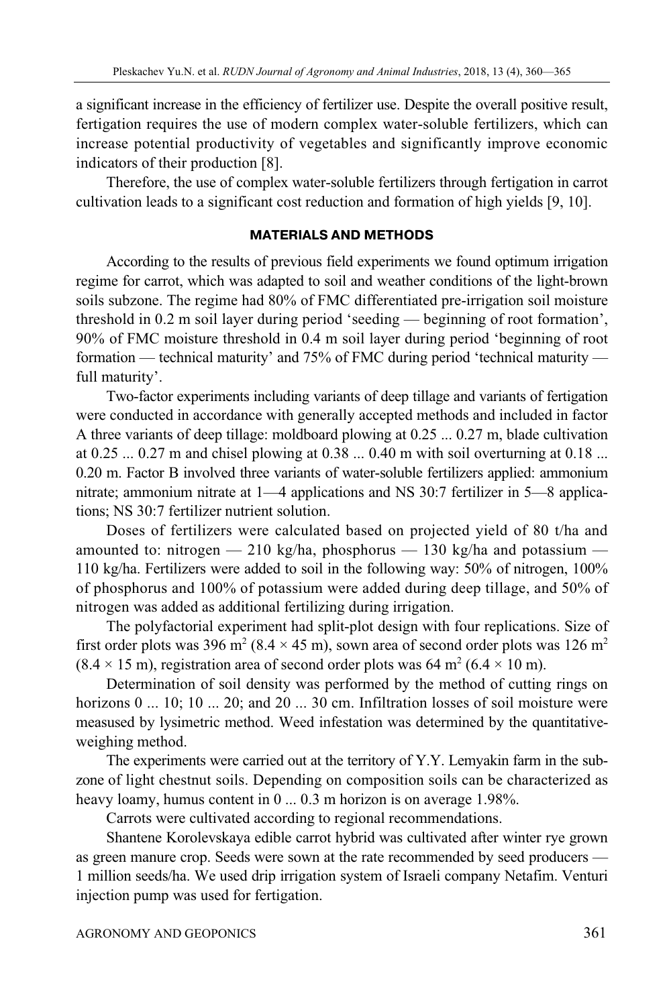a significant increase in the efficiency of fertilizer use. Despite the overall positive result, fertigation requires the use of modern complex water-soluble fertilizers, which can increase potential productivity of vegetables and significantly improve economic indicators of their production [8].

Therefore, the use of complex water-soluble fertilizers through fertigation in carrot cultivation leads to a significant cost reduction and formation of high yields [9, 10].

## **MATERIALS AND METHODS**

According to the results of previous field experiments we found optimum irrigation regime for carrot, which was adapted to soil and weather conditions of the light-brown soils subzone. The regime had 80% of FMC differentiated pre-irrigation soil moisture threshold in 0.2 m soil layer during period 'seeding — beginning of root formation', 90% of FMC moisture threshold in 0.4 m soil layer during period 'beginning of root formation — technical maturity' and 75% of FMC during period 'technical maturity full maturity'.

Two-factor experiments including variants of deep tillage and variants of fertigation were conducted in accordance with generally accepted methods and included in factor A three variants of deep tillage: moldboard plowing at 0.25 ... 0.27 m, blade cultivation at 0.25 ... 0.27 m and chisel plowing at 0.38 ... 0.40 m with soil overturning at 0.18 ... 0.20 m. Factor B involved three variants of water-soluble fertilizers applied: ammonium nitrate; ammonium nitrate at 1—4 applications and NS 30:7 fertilizer in 5—8 applications; NS 30:7 fertilizer nutrient solution.

Doses of fertilizers were calculated based on projected yield of 80 t/ha and amounted to: nitrogen  $-210$  kg/ha, phosphorus  $-130$  kg/ha and potassium  $-$ 110 kg/ha. Fertilizers were added to soil in the following way: 50% of nitrogen, 100% of phosphorus and 100% of potassium were added during deep tillage, and 50% of nitrogen was added as additional fertilizing during irrigation.

The polyfactorial experiment had split-plot design with four replications. Size of first order plots was 396 m<sup>2</sup> (8.4  $\times$  45 m), sown area of second order plots was 126 m<sup>2</sup>  $(8.4 \times 15 \text{ m})$ , registration area of second order plots was 64 m<sup>2</sup> (6.4  $\times$  10 m).

Determination of soil density was performed by the method of cutting rings on horizons 0 ... 10; 10 ... 20; and 20 ... 30 cm. Infiltration losses of soil moisture were measused by lysimetric method. Weed infestation was determined by the quantitativeweighing method.

The experiments were carried out at the territory of Y.Y. Lemyakin farm in the subzone of light chestnut soils. Depending on composition soils can be characterized as heavy loamy, humus content in 0 ... 0.3 m horizon is on average 1.98%.

Carrots were cultivated according to regional recommendations.

Shantene Korolevskaya edible carrot hybrid was cultivated after winter rye grown as green manure crop. Seeds were sown at the rate recommended by seed producers — 1 million seeds/ha. We used drip irrigation system of Israeli company Netafim. Venturi injection pump was used for fertigation.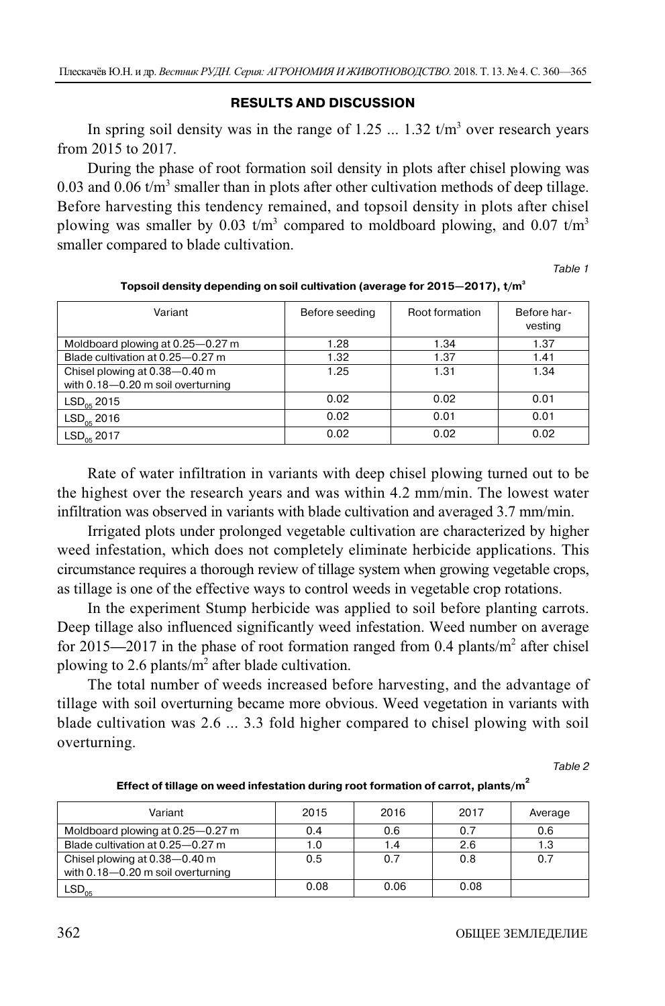### **RESULTS AND DISCUSSION**

In spring soil density was in the range of  $1.25$  ...  $1.32$  t/m<sup>3</sup> over research years from 2015 to 2017.

During the phase of root formation soil density in plots after chisel plowing was 0.03 and 0.06  $t/m<sup>3</sup>$  smaller than in plots after other cultivation methods of deep tillage. Before harvesting this tendency remained, and topsoil density in plots after chisel plowing was smaller by 0.03 t/m<sup>3</sup> compared to moldboard plowing, and 0.07 t/m<sup>3</sup> smaller compared to blade cultivation.

Table 1

| Variant                           | Before seeding | Root formation | Before har-<br>vesting |
|-----------------------------------|----------------|----------------|------------------------|
| Moldboard plowing at 0.25–0.27 m  | 1.28           | 1.34           | 1.37                   |
| Blade cultivation at 0.25-0.27 m  | 1.32           | 1.37           | 1.41                   |
| Chisel plowing at 0.38-0.40 m     | 1.25           | 1.31           | 1.34                   |
| with 0.18-0.20 m soil overturning |                |                |                        |
| $LSD_{05}$ 2015                   | 0.02           | 0.02           | 0.01                   |
| $LSD_{05}$ 2016                   | 0.02           | 0.01           | 0.01                   |
| $LSD_{05}$ 2017                   | 0.02           | 0.02           | 0.02                   |

**Topsoil density depending on soil cultivation (average for 2015—2017), t/m3**

Rate of water infiltration in variants with deep chisel plowing turned out to be the highest over the research years and was within 4.2 mm/min. The lowest water infiltration was observed in variants with blade cultivation and averaged 3.7 mm/min.

Irrigated plots under prolonged vegetable cultivation are characterized by higher weed infestation, which does not completely eliminate herbicide applications. This circumstance requires a thorough review of tillage system when growing vegetable crops, as tillage is one of the effective ways to control weeds in vegetable crop rotations.

In the experiment Stump herbicide was applied to soil before planting carrots. Deep tillage also influenced significantly weed infestation. Weed number on average for 2015—2017 in the phase of root formation ranged from 0.4 plants/m<sup>2</sup> after chisel plowing to 2.6 plants/ $m^2$  after blade cultivation.

The total number of weeds increased before harvesting, and the advantage of tillage with soil overturning became more obvious. Weed vegetation in variants with blade cultivation was 2.6 ... 3.3 fold higher compared to chisel plowing with soil overturning.

Table 2

| Effect of tillage on weed infestation during root formation of carrot, plants/m <sup>+</sup> |  |
|----------------------------------------------------------------------------------------------|--|
|                                                                                              |  |

| Variant                                                                | 2015 | 2016 | 2017 | Average |
|------------------------------------------------------------------------|------|------|------|---------|
| Moldboard plowing at 0.25–0.27 m                                       | 0.4  | 0.6  | 0.7  | 0.6     |
| Blade cultivation at 0.25-0.27 m                                       | 1.0  | 1.4  | 2.6  | 1.3     |
| Chisel plowing at 0.38-0.40 m<br>with $0.18 - 0.20$ m soil overturning | 0.5  | 0.7  | 0.8  | 0.7     |
| $\mathsf{LSD}_{05}$                                                    | 0.08 | 0.06 | 0.08 |         |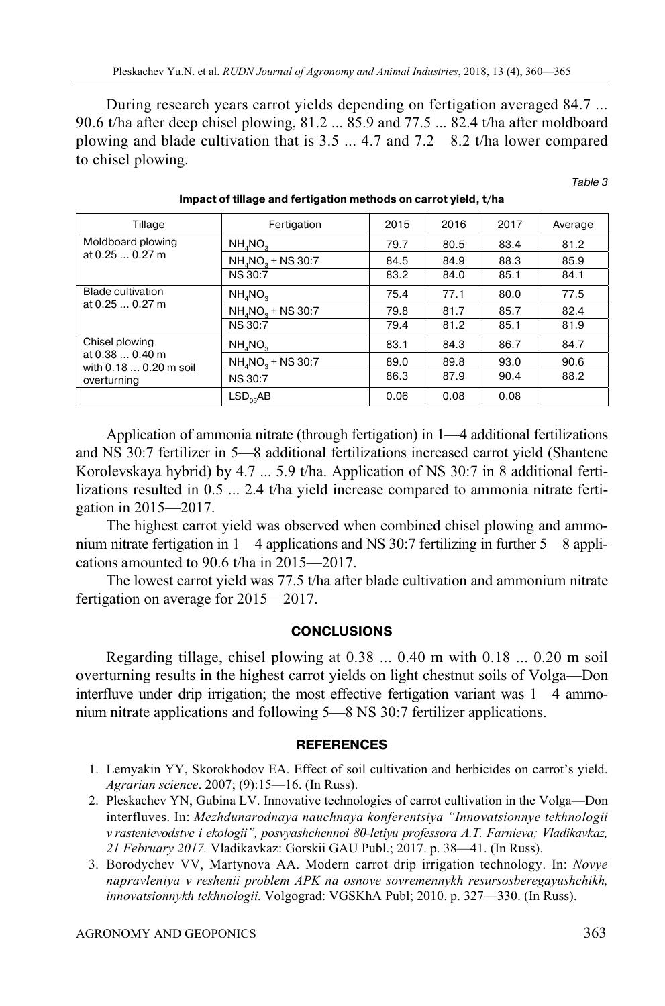During research years carrot yields depending on fertigation averaged 84.7 ... 90.6 t/ha after deep chisel plowing, 81.2 ... 85.9 and 77.5 ... 82.4 t/ha after moldboard plowing and blade cultivation that is 3.5 ... 4.7 and 7.2—8.2 t/ha lower compared to chisel plowing.

Table 3

| Tillage                                                                    | Fertigation                               | 2015 | 2016 | 2017 | Average |
|----------------------------------------------------------------------------|-------------------------------------------|------|------|------|---------|
| Moldboard plowing<br>at $0.250.27$ m                                       | NH, NO,                                   | 79.7 | 80.5 | 83.4 | 81.2    |
|                                                                            | NH <sub>4</sub> NO <sub>2</sub> + NS 30:7 | 84.5 | 84.9 | 88.3 | 85.9    |
|                                                                            | <b>NS 30:7</b>                            | 83.2 | 84.0 | 85.1 | 84.1    |
| <b>Blade cultivation</b><br>at $0.250.27$ m                                | NH <sub>a</sub> NO <sub>a</sub>           | 75.4 | 77.1 | 80.0 | 77.5    |
|                                                                            | NH <sub>4</sub> NO <sub>2</sub> + NS 30:7 | 79.8 | 81.7 | 85.7 | 82.4    |
|                                                                            | <b>NS 30:7</b>                            | 79.4 | 81.2 | 85.1 | 81.9    |
| Chisel plowing<br>at 0.38  0.40 m<br>with 0.18  0.20 m soil<br>overturning | NH <sub>a</sub> NO <sub>a</sub>           | 83.1 | 84.3 | 86.7 | 84.7    |
|                                                                            | NH <sub>4</sub> NO <sub>2</sub> + NS 30:7 | 89.0 | 89.8 | 93.0 | 90.6    |
|                                                                            | <b>NS 30:7</b>                            | 86.3 | 87.9 | 90.4 | 88.2    |
|                                                                            | LSD <sub>OS</sub> AB                      | 0.06 | 0.08 | 0.08 |         |

**Impact of tillage and fertigation methods on carrot yield, t/ha** 

Application of ammonia nitrate (through fertigation) in 1—4 additional fertilizations and NS 30:7 fertilizer in 5—8 additional fertilizations increased carrot yield (Shantene Korolevskaya hybrid) by 4.7 ... 5.9 t/ha. Application of NS 30:7 in 8 additional fertilizations resulted in 0.5 ... 2.4 t/ha yield increase compared to ammonia nitrate fertigation in 2015—2017.

The highest carrot yield was observed when combined chisel plowing and ammonium nitrate fertigation in 1—4 applications and NS 30:7 fertilizing in further 5—8 applications amounted to 90.6 t/ha in 2015—2017.

The lowest carrot yield was 77.5 t/ha after blade cultivation and ammonium nitrate fertigation on average for 2015—2017.

#### **CONCLUSIONS**

Regarding tillage, chisel plowing at 0.38 ... 0.40 m with 0.18 ... 0.20 m soil overturning results in the highest carrot yields on light chestnut soils of Volga—Don interfluve under drip irrigation; the most effective fertigation variant was 1—4 ammonium nitrate applications and following 5—8 NS 30:7 fertilizer applications.

#### **REFERENCES**

- 1. Lemyakin YY, Skorokhodov EA. Effect of soil cultivation and herbicides on carrot's yield. *Agrarian science*. 2007; (9):15—16. (In Russ).
- 2. Pleskachev YN, Gubina LV. Innovative technologies of carrot cultivation in the Volga—Don interfluves. In: *Mezhdunarodnaya nauchnaya konferentsiya "Innovatsionnye tekhnologii v rastenievodstve i ekologii", posvyashchennoi 80-letiyu professora A.T. Farnieva; Vladikavkaz, 21 February 2017.* Vladikavkaz: Gorskii GAU Publ.; 2017. p. 38—41. (In Russ).
- 3. Borodychev VV, Martynova AA. Modern carrot drip irrigation technology. In: *Novye napravleniya v reshenii problem APK na osnove sovremennykh resursosberegayushchikh, innovatsionnykh tekhnologii.* Volgograd: VGSKhA Publ; 2010. p. 327—330. (In Russ).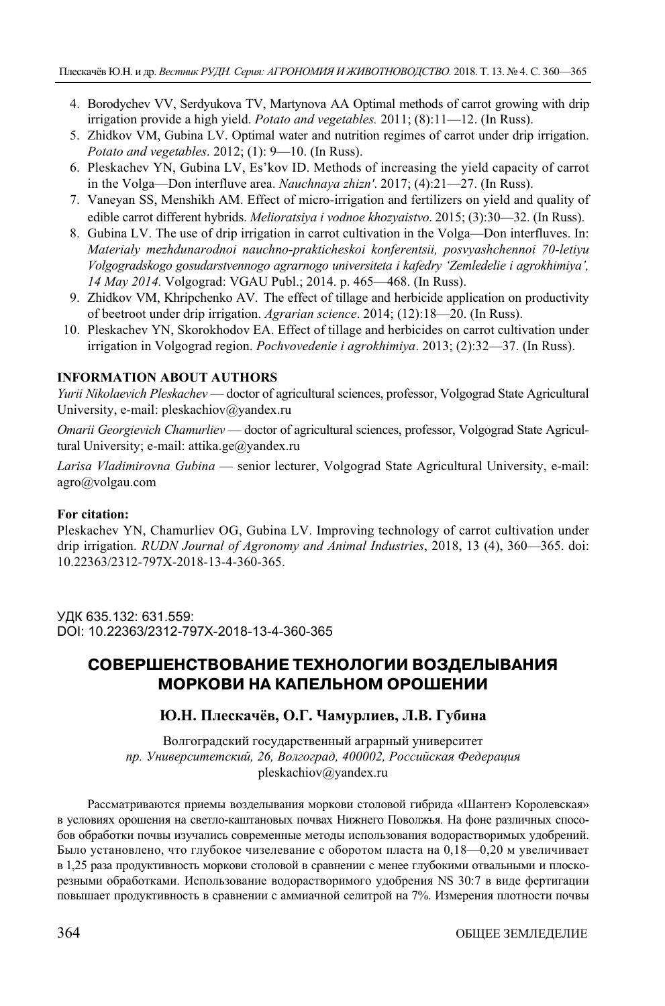- 4. Borodychev VV, Serdyukova TV, Martynova AA Optimal methods of carrot growing with drip irrigation provide a high yield. *Potato and vegetables.* 2011; (8):11—12. (In Russ).
- 5. Zhidkov VM, Gubina LV. Optimal water and nutrition regimes of carrot under drip irrigation. *Potato and vegetables*. 2012; (1): 9—10. (In Russ).
- 6. Pleskachev YN, Gubina LV, Es'kov ID. Methods of increasing the yield capacity of carrot in the Volga—Don interfluve area. *Nauchnaya zhizn'*. 2017; (4):21—27. (In Russ).
- 7. Vaneyan SS, Menshikh AM. Effect of micro-irrigation and fertilizers on yield and quality of edible carrot different hybrids. *Melioratsiya i vodnoe khozyaistvo*. 2015; (3):30—32. (In Russ).
- 8. Gubina LV. The use of drip irrigation in carrot cultivation in the Volga—Don interfluves. In: *Materialy mezhdunarodnoi nauchno-prakticheskoi konferentsii, posvyashchennoi 70-letiyu Volgogradskogo gosudarstvennogo agrarnogo universiteta i kafedry 'Zemledelie i agrokhimiya', 14 May 2014.* Volgograd: VGAU Publ.; 2014. p. 465—468. (In Russ).
- 9. Zhidkov VM, Khripchenko AV. The effect of tillage and herbicide application on productivity of beetroot under drip irrigation. *Agrarian science*. 2014; (12):18—20. (In Russ).
- 10. Pleskachev YN, Skorokhodov EA. Effect of tillage and herbicides on carrot cultivation under irrigation in Volgograd region. *Pochvovedenie i agrokhimiya*. 2013; (2):32—37. (In Russ).

## **INFORMATION ABOUT AUTHORS**

*Yurii Nikolaevich Pleskachev* — doctor of agricultural sciences, professor, Volgograd State Agricultural University, e-mail: pleskachiov@yandex.ru

*Omarii Georgievich Chamurliev* — doctor of agricultural sciences, professor, Volgograd State Agricultural University; e-mail: attika.ge@yandex.ru

*Larisa Vladimirovna Gubina* — senior lecturer, Volgograd State Agricultural University, e-mail: agro@volgau.com

#### **For citation:**

Pleskachev YN, Chamurliev OG, Gubina LV. Improving technology of carrot cultivation under drip irrigation. *RUDN Journal of Agronomy and Animal Industries*, 2018, 13 (4), 360—365. doi: 10.22363/2312-797X-2018-13-4-360-365.

УДК 635.132: 631.559: DOI: 10.22363/2312-797X-2018-13-4-360-365

## **СОВЕРШЕНСТВОВАНИЕ ТЕХНОЛОГИИ ВОЗДЕЛЫВАНИЯ МОРКОВИ НА КАПЕЛЬНОМ ОРОШЕНИИ**

## **Ю.Н. Плескачёв, О.Г. Чамурлиев, Л.В. Губина**

Волгоградский государственный аграрный университет *пр. Университетский, 26, Волгоград, 400002, Российская Федерация*  pleskachiov@yandex.ru

Рассматриваются приемы возделывания моркови столовой гибрида «Шантенэ Королевская» в условиях орошения на светло-каштановых почвах Нижнего Поволжья. На фоне различных способов обработки почвы изучались современные методы использования водорастворимых удобрений. Было установлено, что глубокое чизелевание с оборотом пласта на 0,18—0,20 м увеличивает в 1,25 раза продуктивность моркови столовой в сравнении с менее глубокими отвальными и плоскорезными обработками. Использование водорастворимого удобрения NS 30:7 в виде фертигации повышает продуктивность в сравнении с аммиачной селитрой на 7%. Измерения плотности почвы